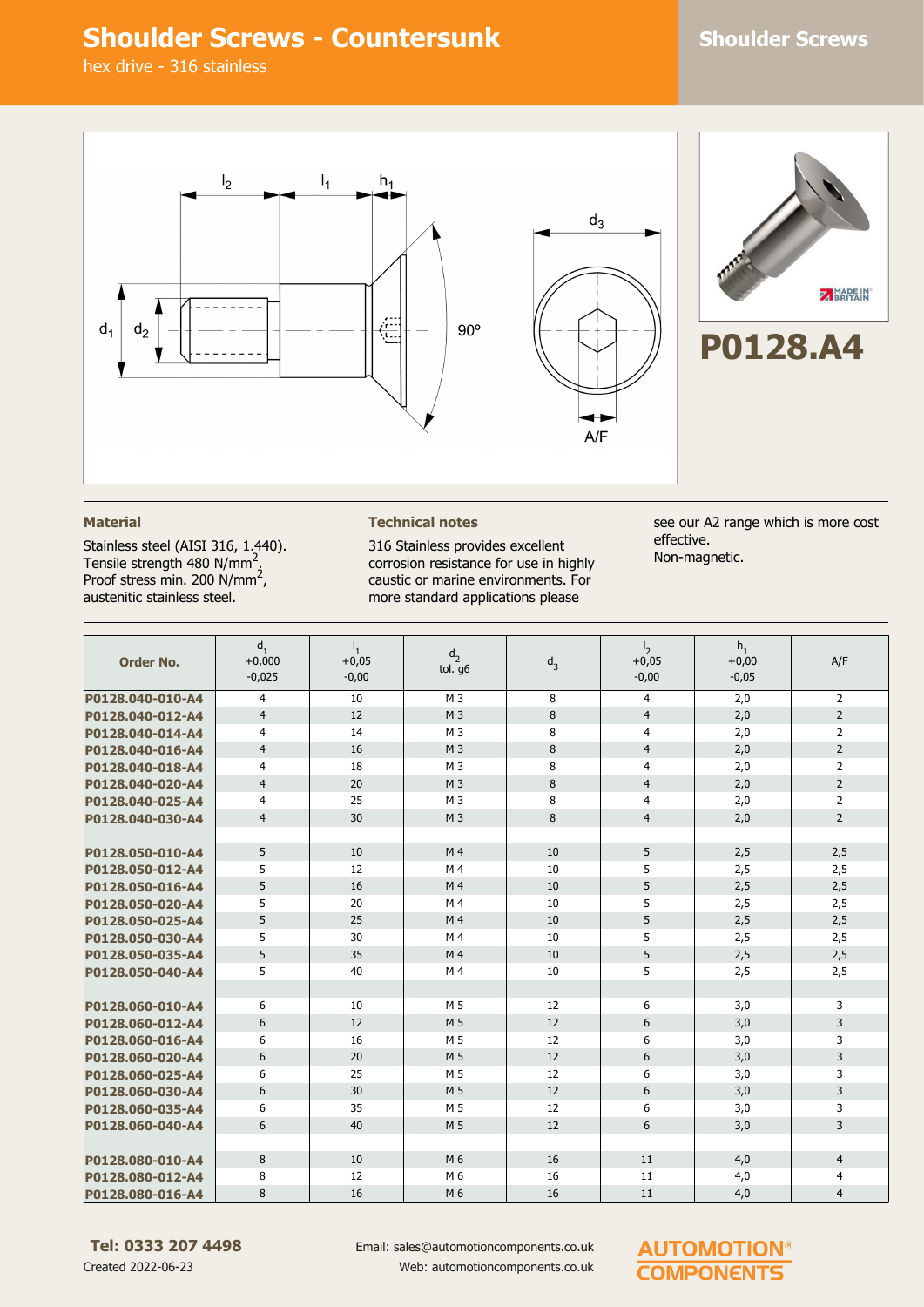## **Shoulder Screws - Countersunk Shoulder Screws**

hex drive - 316 stainless



#### **Material**

Stainless steel (AISI 316, 1.440). Tensile strength 480 N/mm<sup>2</sup>.<br>Proof stress min. 200 N/mm<sup>2</sup>, austenitic stainless steel.

#### **Technical notes**

316 Stainless provides excellent corrosion resistance for use in highly caustic or marine environments. For more standard applications please

see our A2 range which is more cost effective. Non-magnetic.

| <b>Order No.</b> | $d_{1}$<br>$+0,000$<br>$-0,025$ | $+0,05$<br>$-0,00$ | d <sub>2</sub><br>tol. g6 | $d_3$ | $\mathsf{I}_2$<br>$+0,05$<br>$-0,00$ | $h_1$<br>$+0,00$<br>$-0,05$ | A/F            |
|------------------|---------------------------------|--------------------|---------------------------|-------|--------------------------------------|-----------------------------|----------------|
| P0128.040-010-A4 | $\overline{4}$                  | 10                 | M <sub>3</sub>            | 8     | $\overline{4}$                       | 2,0                         | $\overline{2}$ |
| P0128.040-012-A4 | $\overline{4}$                  | 12                 | M <sub>3</sub>            | 8     | $\overline{4}$                       | 2,0                         | $\overline{2}$ |
| P0128.040-014-A4 | $\overline{4}$                  | 14                 | M <sub>3</sub>            | 8     | $\overline{4}$                       | 2,0                         | $\overline{2}$ |
| P0128.040-016-A4 | $\overline{4}$                  | 16                 | M <sub>3</sub>            | 8     | $\overline{4}$                       | 2,0                         | $\overline{2}$ |
| P0128.040-018-A4 | $\overline{4}$                  | 18                 | M <sub>3</sub>            | 8     | $\overline{4}$                       | 2,0                         | $\overline{2}$ |
| P0128.040-020-A4 | $\overline{4}$                  | 20                 | M <sub>3</sub>            | 8     | $\overline{4}$                       | 2,0                         | $\overline{2}$ |
| P0128.040-025-A4 | $\overline{4}$                  | 25                 | M <sub>3</sub>            | 8     | $\overline{4}$                       | 2,0                         | $\overline{2}$ |
| P0128.040-030-A4 | $\overline{4}$                  | 30                 | M <sub>3</sub>            | 8     | $\overline{4}$                       | 2,0                         | $\overline{2}$ |
|                  |                                 |                    |                           |       |                                      |                             |                |
| P0128.050-010-A4 | 5                               | 10                 | M <sub>4</sub>            | 10    | 5                                    | 2,5                         | 2,5            |
| P0128.050-012-A4 | 5                               | 12                 | M <sub>4</sub>            | 10    | 5                                    | 2,5                         | 2,5            |
| P0128.050-016-A4 | 5                               | 16                 | M <sub>4</sub>            | 10    | 5                                    | 2,5                         | 2,5            |
| P0128.050-020-A4 | 5                               | 20                 | M <sub>4</sub>            | 10    | 5                                    | 2,5                         | 2,5            |
| P0128.050-025-A4 | 5                               | 25                 | M <sub>4</sub>            | 10    | 5                                    | 2,5                         | 2,5            |
| P0128.050-030-A4 | 5                               | 30                 | M <sub>4</sub>            | 10    | 5                                    | 2,5                         | 2,5            |
| P0128.050-035-A4 | 5                               | 35                 | M <sub>4</sub>            | 10    | 5                                    | 2,5                         | 2,5            |
| P0128.050-040-A4 | 5                               | 40                 | M <sub>4</sub>            | 10    | 5                                    | 2,5                         | 2,5            |
| P0128.060-010-A4 | 6                               | 10                 | M <sub>5</sub>            | 12    | 6                                    | 3,0                         | 3              |
| P0128.060-012-A4 | 6                               | 12                 | M 5                       | 12    | 6                                    | 3,0                         | $\overline{3}$ |
| P0128.060-016-A4 | 6                               | 16                 | M 5                       | 12    | 6                                    | 3,0                         | 3              |
| P0128.060-020-A4 | 6                               | 20                 | M <sub>5</sub>            | 12    | 6                                    | 3,0                         | 3              |
| P0128.060-025-A4 | 6                               | 25                 | M <sub>5</sub>            | 12    | 6                                    | 3,0                         | 3              |
| P0128.060-030-A4 | 6                               | 30                 | M <sub>5</sub>            | 12    | 6                                    | 3,0                         | $\overline{3}$ |
| P0128.060-035-A4 | 6                               | 35                 | M 5                       | 12    | 6                                    | 3,0                         | 3              |
| P0128.060-040-A4 | 6                               | 40                 | M 5                       | 12    | 6                                    | 3,0                         | 3              |
|                  |                                 |                    |                           |       |                                      |                             |                |
| P0128.080-010-A4 | 8                               | 10                 | M 6                       | 16    | 11                                   | 4,0                         | $\overline{4}$ |
| P0128.080-012-A4 | 8                               | 12                 | M 6                       | 16    | 11                                   | 4,0                         | $\overline{4}$ |
| P0128.080-016-A4 | 8                               | 16                 | M 6                       | 16    | 11                                   | 4,0                         | $\overline{4}$ |

### **Tel: 0333 207 4498** Created 2022-06-23

Email: sales@automotioncomponents.co.uk Web: automotioncomponents.co.uk

### **AUTOMOTION® COMPONENTS**